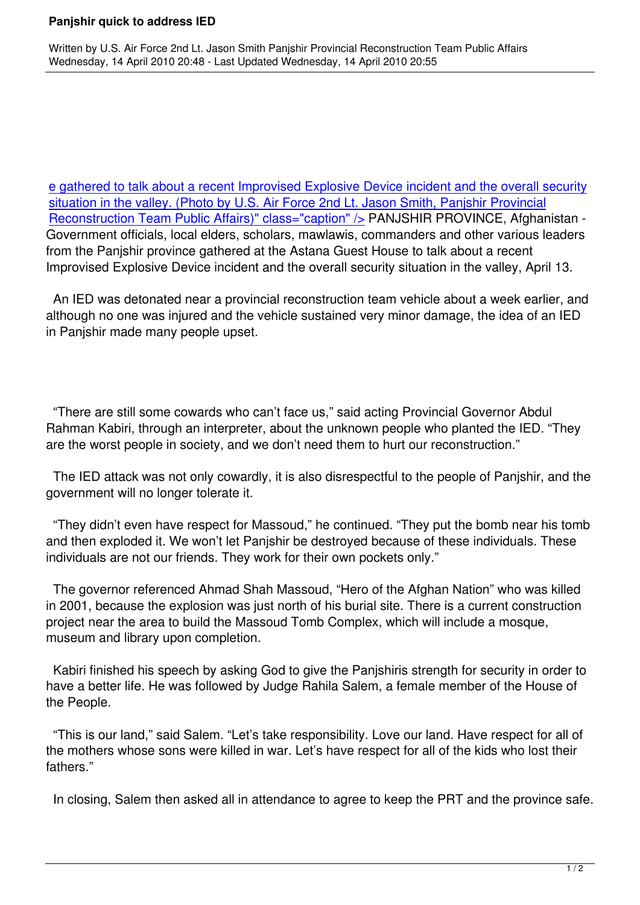Written by U.S. Air Force 2nd Lt. Jason Smith Panjshir Provincial Reconstruction Team Public Affairs Affairs A

e gathered to talk about a recent Improvised Explosive Device incident and the overall security situation in the valley. (Photo by U.S. Air Force 2nd Lt. Jason Smith, Panjshir Provincial Reconstruction Team Public Affairs)" class="caption" /> PANJSHIR PROVINCE, Afghanistan - [Government officials, local elders, scholars, mawlawis, commanders and other various leaders](http://www.cjtf82.com/images/stories/feature_stories/images/2010_04/075/100413-f-1110s-015.jpg) [from the Panjshir province gathered at the Astana Guest House to talk about a recent](http://www.cjtf82.com/images/stories/feature_stories/images/2010_04/075/100413-f-1110s-015.jpg) [Improvised Explosive Device incident and the overall sec](http://www.cjtf82.com/images/stories/feature_stories/images/2010_04/075/100413-f-1110s-015.jpg)urity situation in the valley, April 13.

 An IED was detonated near a provincial reconstruction team vehicle about a week earlier, and although no one was injured and the vehicle sustained very minor damage, the idea of an IED in Panjshir made many people upset.

 "There are still some cowards who can't face us," said acting Provincial Governor Abdul Rahman Kabiri, through an interpreter, about the unknown people who planted the IED. "They are the worst people in society, and we don't need them to hurt our reconstruction."

 The IED attack was not only cowardly, it is also disrespectful to the people of Panjshir, and the government will no longer tolerate it.

 "They didn't even have respect for Massoud," he continued. "They put the bomb near his tomb and then exploded it. We won't let Panjshir be destroyed because of these individuals. These individuals are not our friends. They work for their own pockets only."

 The governor referenced Ahmad Shah Massoud, "Hero of the Afghan Nation" who was killed in 2001, because the explosion was just north of his burial site. There is a current construction project near the area to build the Massoud Tomb Complex, which will include a mosque, museum and library upon completion.

 Kabiri finished his speech by asking God to give the Panjshiris strength for security in order to have a better life. He was followed by Judge Rahila Salem, a female member of the House of the People.

 "This is our land," said Salem. "Let's take responsibility. Love our land. Have respect for all of the mothers whose sons were killed in war. Let's have respect for all of the kids who lost their fathers."

In closing, Salem then asked all in attendance to agree to keep the PRT and the province safe.